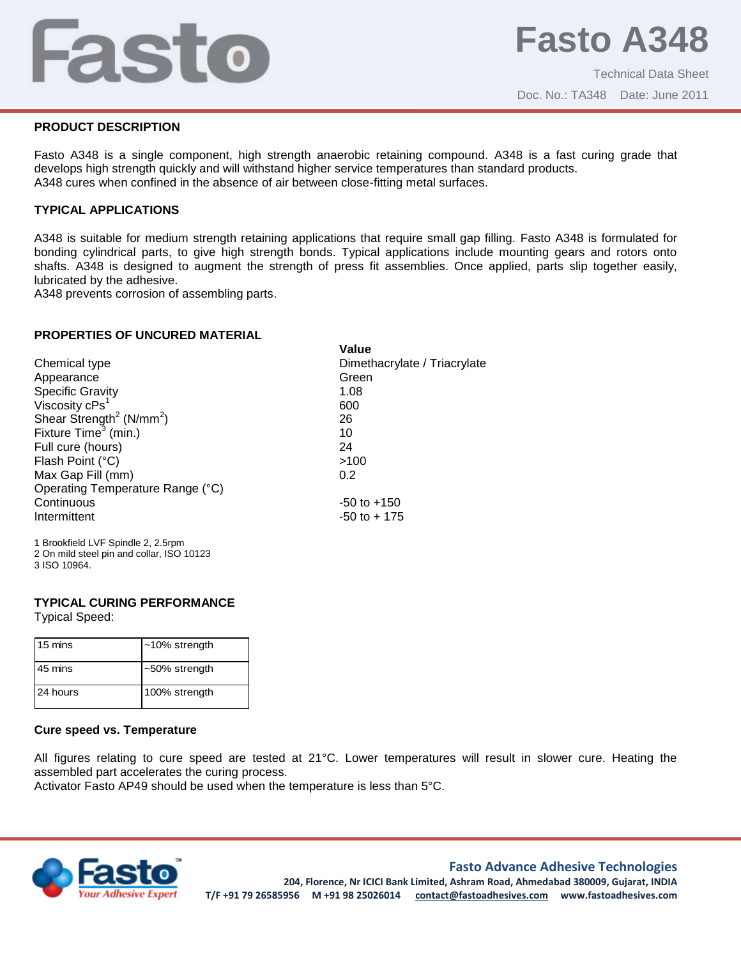# Fasto

Doc. No.: TA348 Date: June 2011

# **PRODUCT DESCRIPTION**

Fasto A348 is a single component, high strength anaerobic retaining compound. A348 is a fast curing grade that develops high strength quickly and will withstand higher service temperatures than standard products. A348 cures when confined in the absence of air between close-fitting metal surfaces.

# **TYPICAL APPLICATIONS**

A348 is suitable for medium strength retaining applications that require small gap filling. Fasto A348 is formulated for bonding cylindrical parts, to give high strength bonds. Typical applications include mounting gears and rotors onto shafts. A348 is designed to augment the strength of press fit assemblies. Once applied, parts slip together easily, lubricated by the adhesive.

A348 prevents corrosion of assembling parts.

# **PROPERTIES OF UNCURED MATERIAL**

|                                                  | Value                        |
|--------------------------------------------------|------------------------------|
| Chemical type                                    | Dimethacrylate / Triacrylate |
| Appearance                                       | Green                        |
| <b>Specific Gravity</b>                          | 1.08                         |
| Viscosity cPs <sup>1</sup>                       | 600                          |
| Shear Strength <sup>2</sup> (N/mm <sup>2</sup> ) | 26                           |
| Fixture $Time3$ (min.)                           | 10                           |
| Full cure (hours)                                | 24                           |
| Flash Point (°C)                                 | >100                         |
| Max Gap Fill (mm)                                | 0.2                          |
| Operating Temperature Range (°C)                 |                              |
| Continuous                                       | $-50$ to $+150$              |
| Intermittent                                     | $-50$ to $+175$              |
| 1 Drockfold LVE Coindle 2.2 Erom                 |                              |

1 Brookfield LVF Spindle 2, 2.5rpm 2 On mild steel pin and collar, ISO 10123 3 ISO 10964.

#### **TYPICAL CURING PERFORMANCE**

Typical Speed:

| 15 mins  | $~10\%$ strength |
|----------|------------------|
| 45 mins  | $~50\%$ strength |
| 24 hours | 100% strength    |

#### **Cure speed vs. Temperature**

All figures relating to cure speed are tested at 21°C. Lower temperatures will result in slower cure. Heating the assembled part accelerates the curing process.

Activator Fasto AP49 should be used when the temperature is less than 5°C.



#### **Fasto Advance Adhesive Technologies**

**204, Florence, Nr ICICI Bank Limited, Ashram Road, Ahmedabad 380009, Gujarat, INDIA T/F +91 79 26585956 M +91 98 25026014 contact@fastoadhesives.com www.fastoadhesives.com**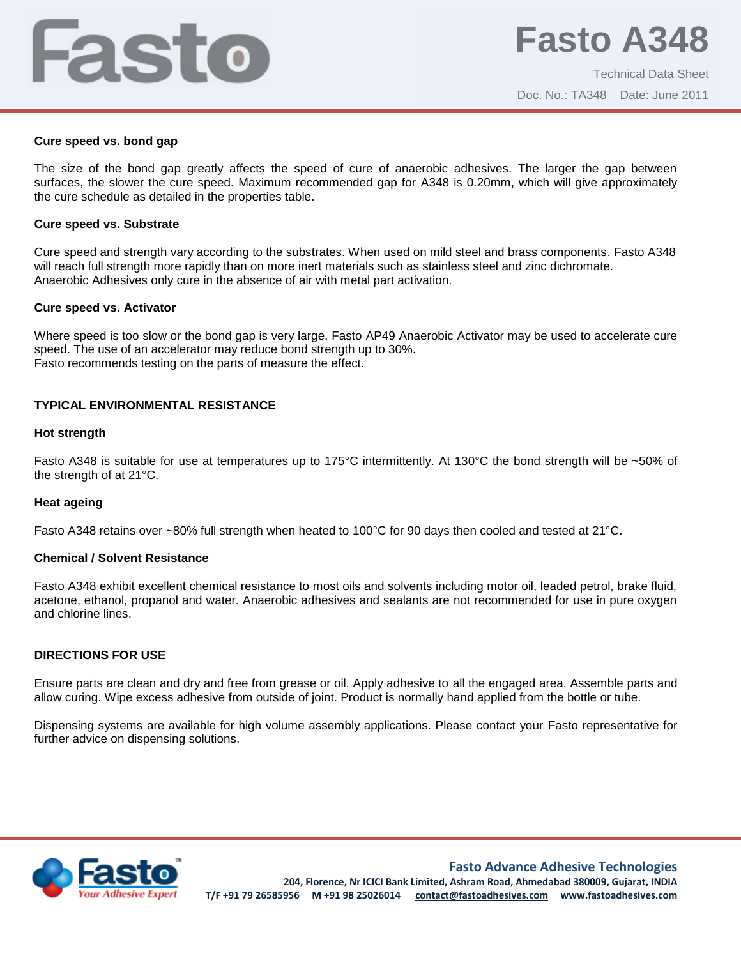# Fasto

Technical Data Sheet Doc. No.: TA348 Date: June 2011

#### **Cure speed vs. bond gap**

The size of the bond gap greatly affects the speed of cure of anaerobic adhesives. The larger the gap between surfaces, the slower the cure speed. Maximum recommended gap for A348 is 0.20mm, which will give approximately the cure schedule as detailed in the properties table.

#### **Cure speed vs. Substrate**

Cure speed and strength vary according to the substrates. When used on mild steel and brass components. Fasto A348 will reach full strength more rapidly than on more inert materials such as stainless steel and zinc dichromate. Anaerobic Adhesives only cure in the absence of air with metal part activation.

#### **Cure speed vs. Activator**

Where speed is too slow or the bond gap is very large, Fasto AP49 Anaerobic Activator may be used to accelerate cure speed. The use of an accelerator may reduce bond strength up to 30%. Fasto recommends testing on the parts of measure the effect.

# **TYPICAL ENVIRONMENTAL RESISTANCE**

#### **Hot strength**

Fasto A348 is suitable for use at temperatures up to 175°C intermittently. At 130°C the bond strength will be ~50% of the strength of at 21°C.

#### **Heat ageing**

Fasto A348 retains over ~80% full strength when heated to 100°C for 90 days then cooled and tested at 21°C.

#### **Chemical / Solvent Resistance**

Fasto A348 exhibit excellent chemical resistance to most oils and solvents including motor oil, leaded petrol, brake fluid, acetone, ethanol, propanol and water. Anaerobic adhesives and sealants are not recommended for use in pure oxygen and chlorine lines.

#### **DIRECTIONS FOR USE**

Ensure parts are clean and dry and free from grease or oil. Apply adhesive to all the engaged area. Assemble parts and allow curing. Wipe excess adhesive from outside of joint. Product is normally hand applied from the bottle or tube.

Dispensing systems are available for high volume assembly applications. Please contact your Fasto representative for further advice on dispensing solutions.



**Fasto Advance Adhesive Technologies**

**204, Florence, Nr ICICI Bank Limited, Ashram Road, Ahmedabad 380009, Gujarat, INDIA T/F +91 79 26585956 M +91 98 25026014 contact@fastoadhesives.com www.fastoadhesives.com**